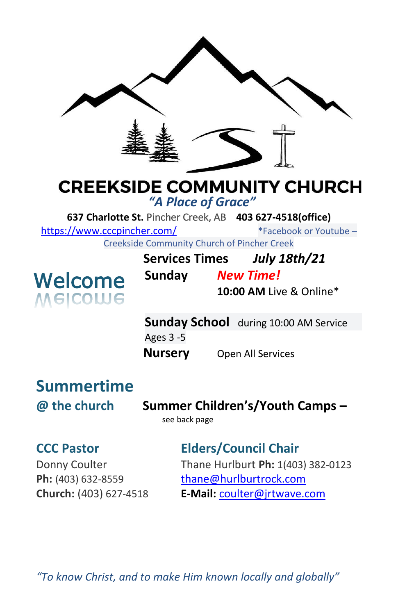

# **CREEKSIDE COMMUNITY CHURCH**

*"A Place of Grace"*

**637 Charlotte St.** Pincher Creek, AB **403 627-4518(office)** 

<https://www.cccpincher.com/>\*Facebook or Youtube –

Creekside Community Church of Pincher Creek



| <u>ooliitiviitiv olivi oli oli tiivitoi oli ol</u> |                  |                          |
|----------------------------------------------------|------------------|--------------------------|
| Services Times                                     |                  | <b>July 18th/21</b>      |
| Sunday                                             | <b>New Time!</b> |                          |
|                                                    |                  | $10:00$ AM Live & Online |

**AM** Live & Online\*

**Sunday School** during 10:00 AM Service Ages 3 -5 **Nursery** Open All Services

# **Summertime**

**@ the church Summer Children's/Youth Camps –**

see back page

### **CCC Pastor Elders/Council Chair**

Donny Coulter Thane Hurlburt **Ph:** 1(403) 382-0123 **Ph:** (403) 632-8559 [thane@hurlburtrock.com](mailto:thane@hurlburtrock.com) **Church:** (403) 627-4518 **E-Mail:** [coulter@jrtwave.com](mailto:coulter@jrtwave.com)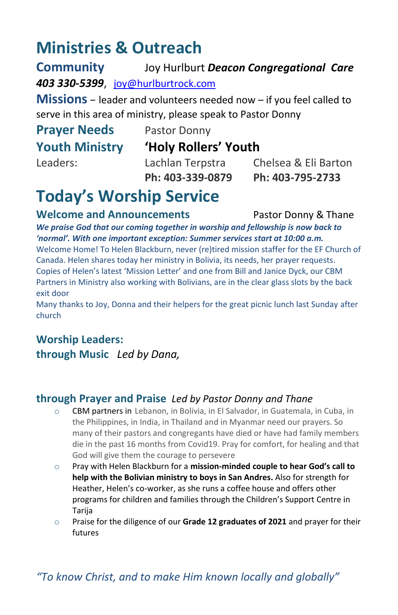### **Ministries & Outreach**

**Community** Joy Hurlburt *Deacon Congregational Care 403 330-5399*, [joy@hurlburtrock.com](mailto:joy@hurlburtrock.com)

**Missions** – leader and volunteers needed now – if you feel called to serve in this area of ministry, please speak to Pastor Donny

# **Prayer Needs** Pastor Donny

#### **Youth Ministry 'Holy Rollers' Youth**

Leaders: Lachlan Terpstra Chelsea & Eli Barton **Ph: 403-339-0879 Ph: 403-795-2733**

## **Today's Worship Service**

**Welcome and Announcements** Pastor Donny & Thane

*We praise God that our coming together in worship and fellowship is now back to 'normal'. With one important exception: Summer services start at 10:00 a.m.*

Welcome Home! To Helen Blackburn, never (re)tired mission staffer for the EF Church of Canada. Helen shares today her ministry in Bolivia, its needs, her prayer requests. Copies of Helen's latest 'Mission Letter' and one from Bill and Janice Dyck, our CBM Partners in Ministry also working with Bolivians, are in the clear glass slots by the back exit door

Many thanks to Joy, Donna and their helpers for the great picnic lunch last Sunday after church

### **Worship Leaders:**

**through Music** *Led by Dana,* 

#### **through Prayer and Praise** *Led by Pastor Donny and Thane*

- o CBM partners in Lebanon, in Bolivia, in El Salvador, in Guatemala, in Cuba, in the Philippines, in India, in Thailand and in Myanmar need our prayers. So many of their pastors and congregants have died or have had family members die in the past 16 months from Covid19. Pray for comfort, for healing and that God will give them the courage to persevere
- o Pray with Helen Blackburn for a **mission-minded couple to hear God's call to help with the Bolivian ministry to boys in San Andres.** Also for strength for Heather, Helen's co-worker, as she runs a coffee house and offers other programs for children and families through the Children's Support Centre in Tarija
- o Praise for the diligence of our **Grade 12 graduates of 2021** and prayer for their futures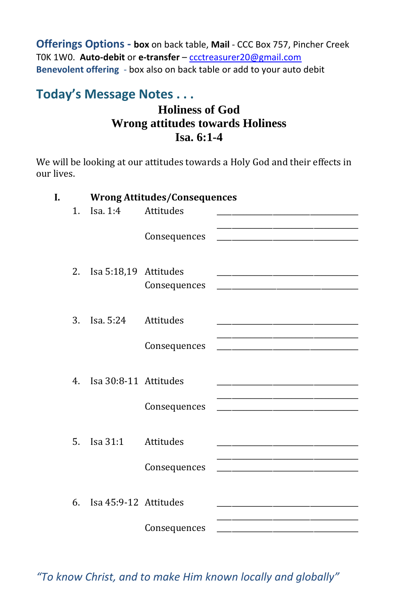**Offerings Options - box** on back table, **Mail** - CCC Box 757, Pincher Creek T0K 1W0. **Auto-debit** or **e-transfer** – [ccctreasurer20@gmail.com](mailto:ccctreasurer20@gmail.com) **Benevolent offering** - box also on back table or add to your auto debit

#### **Today's Message Notes . . .**

#### **Holiness of God Wrong attitudes towards Holiness Isa. 6:1-4**

We will be looking at our attitudes towards a Holy God and their effects in our lives.

| Ī. |                |                              | <b>Wrong Attitudes/Consequences</b> |                                                                                                                                                                                                                               |
|----|----------------|------------------------------|-------------------------------------|-------------------------------------------------------------------------------------------------------------------------------------------------------------------------------------------------------------------------------|
|    | 1.             | Isa, $1:4$                   | Attitudes                           |                                                                                                                                                                                                                               |
|    |                |                              | Consequences                        |                                                                                                                                                                                                                               |
|    | 2.             | Isa 5:18,19 Attitudes        | Consequences                        | the control of the control of the control of the control of the control of the control of the control of the control of the control of the control of the control of the control of the control of the control of the control |
|    | 3.             | Isa. 5:24                    | Attitudes                           | the control of the control of the control of the control of the control of the control of                                                                                                                                     |
|    |                |                              | Consequences                        |                                                                                                                                                                                                                               |
|    | 4 <sub>1</sub> | Isa 30:8-11 Attitudes        |                                     |                                                                                                                                                                                                                               |
|    |                |                              | Consequences                        |                                                                                                                                                                                                                               |
|    | 5 <sub>1</sub> | Isa 31:1                     | Attitudes                           |                                                                                                                                                                                                                               |
|    |                |                              | Consequences                        | the control of the control of the control of the control of the control of the control of                                                                                                                                     |
|    |                | $6.$ Isa $45:9-12$ Attitudes |                                     |                                                                                                                                                                                                                               |
|    |                |                              | Consequences                        |                                                                                                                                                                                                                               |